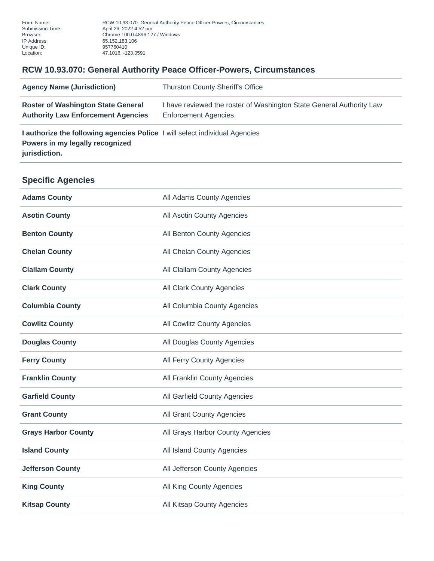## **RCW 10.93.070: General Authority Peace Officer-Powers, Circumstances**

| <b>Agency Name (Jurisdiction)</b>                                                                                                      | <b>Thurston County Sheriff's Office</b>                                                       |
|----------------------------------------------------------------------------------------------------------------------------------------|-----------------------------------------------------------------------------------------------|
| <b>Roster of Washington State General</b><br><b>Authority Law Enforcement Agencies</b>                                                 | I have reviewed the roster of Washington State General Authority Law<br>Enforcement Agencies. |
| <b>I authorize the following agencies Police</b> I will select individual Agencies<br>Powers in my legally recognized<br>jurisdiction. |                                                                                               |
| <b>Specific Agencies</b>                                                                                                               |                                                                                               |
| <b>Adams County</b>                                                                                                                    | All Adams County Agencies                                                                     |
| <b>Asotin County</b>                                                                                                                   | All Asotin County Agencies                                                                    |

| <b>Benton County</b>       | All Benton County Agencies       |
|----------------------------|----------------------------------|
| <b>Chelan County</b>       | All Chelan County Agencies       |
| <b>Clallam County</b>      | All Clallam County Agencies      |
| <b>Clark County</b>        | All Clark County Agencies        |
| <b>Columbia County</b>     | All Columbia County Agencies     |
| <b>Cowlitz County</b>      | All Cowlitz County Agencies      |
| <b>Douglas County</b>      | All Douglas County Agencies      |
| <b>Ferry County</b>        | All Ferry County Agencies        |
| <b>Franklin County</b>     | All Franklin County Agencies     |
| <b>Garfield County</b>     | All Garfield County Agencies     |
| <b>Grant County</b>        | All Grant County Agencies        |
| <b>Grays Harbor County</b> | All Grays Harbor County Agencies |
| <b>Island County</b>       | All Island County Agencies       |
| <b>Jefferson County</b>    | All Jefferson County Agencies    |
| <b>King County</b>         | All King County Agencies         |
| <b>Kitsap County</b>       | All Kitsap County Agencies       |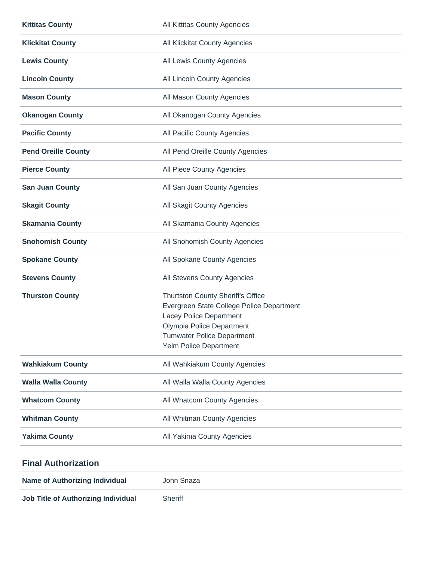| <b>Kittitas County</b>                     | All Kittitas County Agencies                                                                                                                                                                          |
|--------------------------------------------|-------------------------------------------------------------------------------------------------------------------------------------------------------------------------------------------------------|
| <b>Klickitat County</b>                    | All Klickitat County Agencies                                                                                                                                                                         |
| <b>Lewis County</b>                        | All Lewis County Agencies                                                                                                                                                                             |
| <b>Lincoln County</b>                      | All Lincoln County Agencies                                                                                                                                                                           |
| <b>Mason County</b>                        | All Mason County Agencies                                                                                                                                                                             |
| <b>Okanogan County</b>                     | All Okanogan County Agencies                                                                                                                                                                          |
| <b>Pacific County</b>                      | All Pacific County Agencies                                                                                                                                                                           |
| <b>Pend Oreille County</b>                 | All Pend Oreille County Agencies                                                                                                                                                                      |
| <b>Pierce County</b>                       | All Piece County Agencies                                                                                                                                                                             |
| <b>San Juan County</b>                     | All San Juan County Agencies                                                                                                                                                                          |
| <b>Skagit County</b>                       | All Skagit County Agencies                                                                                                                                                                            |
| <b>Skamania County</b>                     | All Skamania County Agencies                                                                                                                                                                          |
| <b>Snohomish County</b>                    | All Snohomish County Agencies                                                                                                                                                                         |
| <b>Spokane County</b>                      | All Spokane County Agencies                                                                                                                                                                           |
| <b>Stevens County</b>                      | All Stevens County Agencies                                                                                                                                                                           |
| <b>Thurston County</b>                     | Thurtston County Sheriff's Office<br>Evergreen State College Police Department<br>Lacey Police Department<br>Olympia Police Department<br><b>Tumwater Police Department</b><br>Yelm Police Department |
| <b>Wahkiakum County</b>                    | All Wahkiakum County Agencies                                                                                                                                                                         |
| <b>Walla Walla County</b>                  | All Walla Walla County Agencies                                                                                                                                                                       |
| <b>Whatcom County</b>                      | All Whatcom County Agencies                                                                                                                                                                           |
| <b>Whitman County</b>                      | All Whitman County Agencies                                                                                                                                                                           |
| <b>Yakima County</b>                       | All Yakima County Agencies                                                                                                                                                                            |
| <b>Final Authorization</b>                 |                                                                                                                                                                                                       |
| <b>Name of Authorizing Individual</b>      | John Snaza                                                                                                                                                                                            |
| <b>Job Title of Authorizing Individual</b> | Sheriff                                                                                                                                                                                               |

 $\overline{\phantom{a}}$